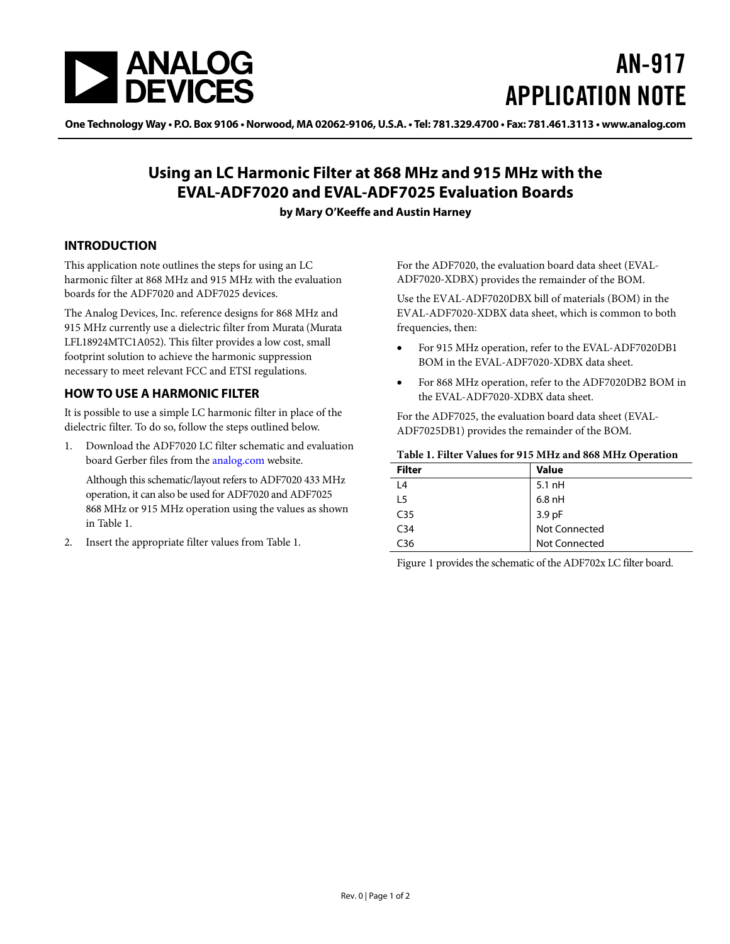

# AN-917 APPLICATION NOTE

One Technology Way • P.O. Box 9106 • Norwood, MA 02062-9106, U.S.A. • Tel: 781.329.4700 • Fax: 781.461.3113 • www.analog.com

## **Using an LC Harmonic Filter at 868 MHz and 915 MHz with the EVAL-ADF7020 and EVAL-ADF7025 Evaluation Boards**

#### **by Mary O'Keeffe and Austin Harney**

#### **INTRODUCTION**

This application note outlines the steps for using an LC harmonic filter at 868 MHz and 915 MHz with the evaluation boards for the ADF7020 and ADF7025 devices.

The Analog Devices, Inc. reference designs for 868 MHz and 915 MHz currently use a dielectric filter from Murata (Murata LFL18924MTC1A052). This filter provides a low cost, small footprint solution to achieve the harmonic suppression necessary to meet relevant FCC and ETSI regulations.

### **HOW TO USE A HARMONIC FILTER**

It is possible to use a simple LC harmonic filter in place of the dielectric filter. To do so, follow the steps outlined below.

<span id="page-0-0"></span>1. Download the ADF7020 LC filter schematic and evaluation board [Gerber files from the analog.com](http://www.analog.com/gerber) website.

Although this schematic/layout refers to ADF7020 433 MHz operation, it can also be used for ADF7020 and ADF7025 868 MHz or 915 MHz operation using the values as shown in [Table 1](#page-0-0).

2. Insert the appropriate filter values from [Table 1](#page-0-0).

For the ADF7020, the evaluation board data sheet ([EVAL-](http://www.analog.com/eval-adf7020-xdbx)[ADF7020-XDBX\)](http://www.analog.com/eval-adf7020-xdbx) provides the remainder of the BOM.

Use the EVAL-ADF7020DBX bill of materials (BOM) in the [EVAL-ADF7020-XDBX](http://www.analog.com/eval-adf7020-xdbx) data sheet, which is common to both frequencies, then:

- For 915 MHz operation, refer to the EVAL-ADF7020DB1 BOM in the EVAL-ADF7020-XDBX data sheet.
- For 868 MHz operation, refer to the ADF7020DB2 BOM in the EVAL-ADF7020-XDBX data sheet.

For the ADF7025, the evaluation board data sheet (EVAL-ADF7025DB1) provides the remainder of the BOM.

#### **Table 1. Filter Values for 915 MHz and 868 MHz Operation**

| <b>Filter</b>   | <b>Value</b>            |
|-----------------|-------------------------|
| L <sub>4</sub>  | $5.1$ nH                |
| 15              | $6.8$ nH                |
| C <sub>35</sub> | 3.9 pF<br>Not Connected |
| C <sub>34</sub> |                         |
| C <sub>36</sub> | <b>Not Connected</b>    |

[Figure 1](#page-1-0) provides the schematic of the ADF702x LC filter board.